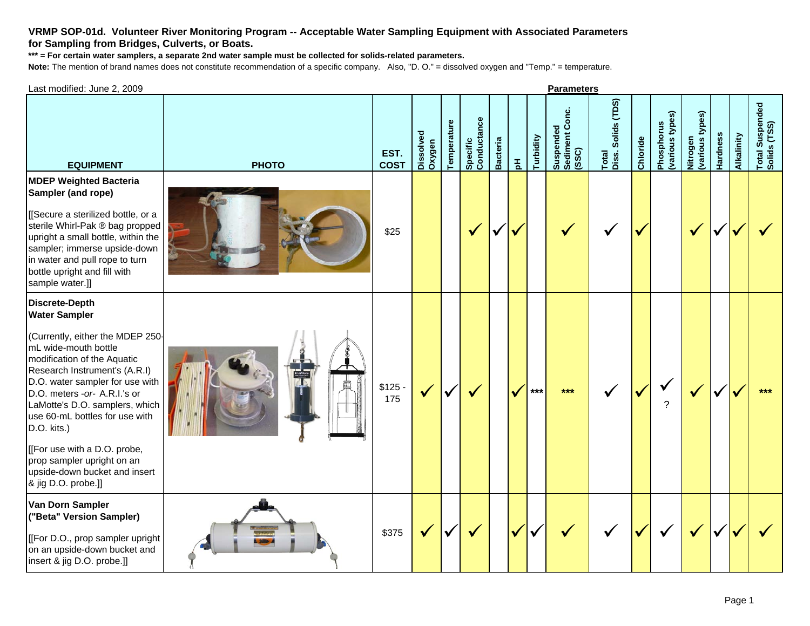## **VRMP SOP-01d. Volunteer River Monitoring Program -- Acceptable Water Sampling Equipment with Associated Parameters for Sampling from Bridges, Culverts, or Boats.**

**\*\*\* = For certain water samplers, a separate 2nd water sample must be collected for solids-related parameters.**

**Note:** The mention of brand names does not constitute recommendation of a specific company. Also, "D. O." = dissolved oxygen and "Temp." = temperature.

| Last modified: June 2, 2009                                                                                                                                                                                                                                                                                                                                                                                                                           | <b>Parameters</b> |                     |                     |             |                         |                 |                 |           |                                      |                             |          |                               |                             |          |            |                                 |
|-------------------------------------------------------------------------------------------------------------------------------------------------------------------------------------------------------------------------------------------------------------------------------------------------------------------------------------------------------------------------------------------------------------------------------------------------------|-------------------|---------------------|---------------------|-------------|-------------------------|-----------------|-----------------|-----------|--------------------------------------|-----------------------------|----------|-------------------------------|-----------------------------|----------|------------|---------------------------------|
| <b>EQUIPMENT</b>                                                                                                                                                                                                                                                                                                                                                                                                                                      | <b>PHOTO</b>      | EST.<br><b>COST</b> | Dissolved<br>Oxygen | Temperature | Specific<br>Conductance | <b>Bacteria</b> | $\frac{\pi}{2}$ | Turbidity | Suspended<br>Sediment Conc.<br>(SSC) | Total<br>Diss. Solids (TDS) | Chloride | (various types)<br>Phosphorus | Nitrogen<br>(various types) | Hardness | Alkalinity | Total Suspended<br>Solids (TSS) |
| <b>MDEP Weighted Bacteria</b><br>Sampler (and rope)<br>[[Secure a sterilized bottle, or a<br>sterile Whirl-Pak ® bag propped<br>upright a small bottle, within the<br>sampler; immerse upside-down<br>in water and pull rope to turn<br>bottle upright and fill with<br>sample water.]]                                                                                                                                                               |                   | \$25                |                     |             | $\sqrt{}$               | ✔               |                 |           |                                      |                             |          |                               | $\checkmark$                |          |            |                                 |
| <b>Discrete-Depth</b><br><b>Water Sampler</b><br>(Currently, either the MDEP 250-<br>mL wide-mouth bottle<br>modification of the Aquatic<br>Research Instrument's (A.R.I)<br>D.O. water sampler for use with<br>D.O. meters -or- A.R.I.'s or<br>LaMotte's D.O. samplers, which<br>use 60-mL bottles for use with<br>D.O. kits.)<br>[[For use with a D.O. probe,<br>prop sampler upright on an<br>upside-down bucket and insert<br>& jig D.O. probe.]] |                   | $$125 -$<br>175     | $\checkmark$        |             | $\checkmark$            |                 | $\checkmark$    | $***$     | $***$                                |                             | v        | 2                             | $\checkmark$                |          |            | $***$                           |
| Van Dorn Sampler<br>("Beta" Version Sampler)<br>[[For D.O., prop sampler upright]<br>on an upside-down bucket and<br>insert & jig D.O. probe.]]                                                                                                                                                                                                                                                                                                       |                   | \$375               | $\checkmark$        |             |                         |                 | √               |           |                                      |                             | M        |                               | $\checkmark$                |          |            |                                 |